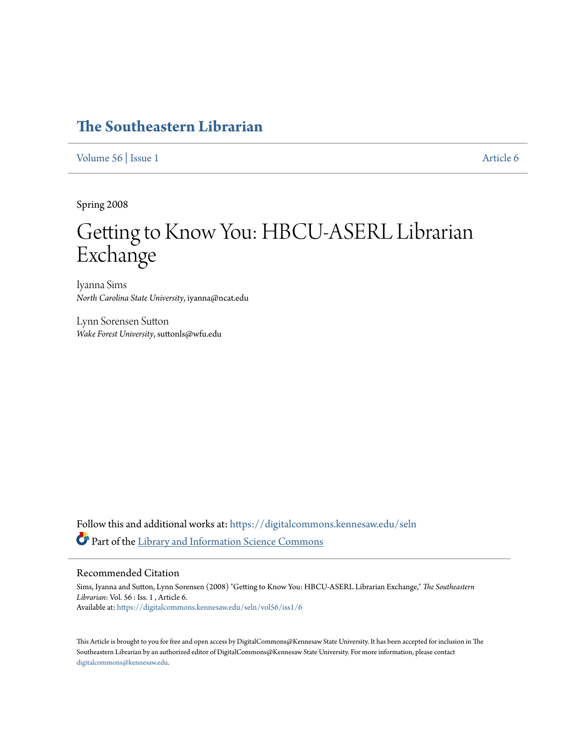# **[The Southeastern Librarian](https://digitalcommons.kennesaw.edu/seln?utm_source=digitalcommons.kennesaw.edu%2Fseln%2Fvol56%2Fiss1%2F6&utm_medium=PDF&utm_campaign=PDFCoverPages)**

[Volume 56](https://digitalcommons.kennesaw.edu/seln/vol56?utm_source=digitalcommons.kennesaw.edu%2Fseln%2Fvol56%2Fiss1%2F6&utm_medium=PDF&utm_campaign=PDFCoverPages) | [Issue 1](https://digitalcommons.kennesaw.edu/seln/vol56/iss1?utm_source=digitalcommons.kennesaw.edu%2Fseln%2Fvol56%2Fiss1%2F6&utm_medium=PDF&utm_campaign=PDFCoverPages) [Article 6](https://digitalcommons.kennesaw.edu/seln/vol56/iss1/6?utm_source=digitalcommons.kennesaw.edu%2Fseln%2Fvol56%2Fiss1%2F6&utm_medium=PDF&utm_campaign=PDFCoverPages)

Spring 2008

# Getting to Know You: HBCU-ASERL Librarian Exchange

Iyanna Sims *North Carolina State University*, iyanna@ncat.edu

Lynn Sorensen Sutton *Wake Forest University*, suttonls@wfu.edu

Follow this and additional works at: [https://digitalcommons.kennesaw.edu/seln](https://digitalcommons.kennesaw.edu/seln?utm_source=digitalcommons.kennesaw.edu%2Fseln%2Fvol56%2Fiss1%2F6&utm_medium=PDF&utm_campaign=PDFCoverPages) Part of the [Library and Information Science Commons](http://network.bepress.com/hgg/discipline/1018?utm_source=digitalcommons.kennesaw.edu%2Fseln%2Fvol56%2Fiss1%2F6&utm_medium=PDF&utm_campaign=PDFCoverPages)

#### Recommended Citation

Sims, Iyanna and Sutton, Lynn Sorensen (2008) "Getting to Know You: HBCU-ASERL Librarian Exchange," *The Southeastern Librarian*: Vol. 56 : Iss. 1 , Article 6. Available at: [https://digitalcommons.kennesaw.edu/seln/vol56/iss1/6](https://digitalcommons.kennesaw.edu/seln/vol56/iss1/6?utm_source=digitalcommons.kennesaw.edu%2Fseln%2Fvol56%2Fiss1%2F6&utm_medium=PDF&utm_campaign=PDFCoverPages)

This Article is brought to you for free and open access by DigitalCommons@Kennesaw State University. It has been accepted for inclusion in The Southeastern Librarian by an authorized editor of DigitalCommons@Kennesaw State University. For more information, please contact [digitalcommons@kennesaw.edu.](mailto:digitalcommons@kennesaw.edu)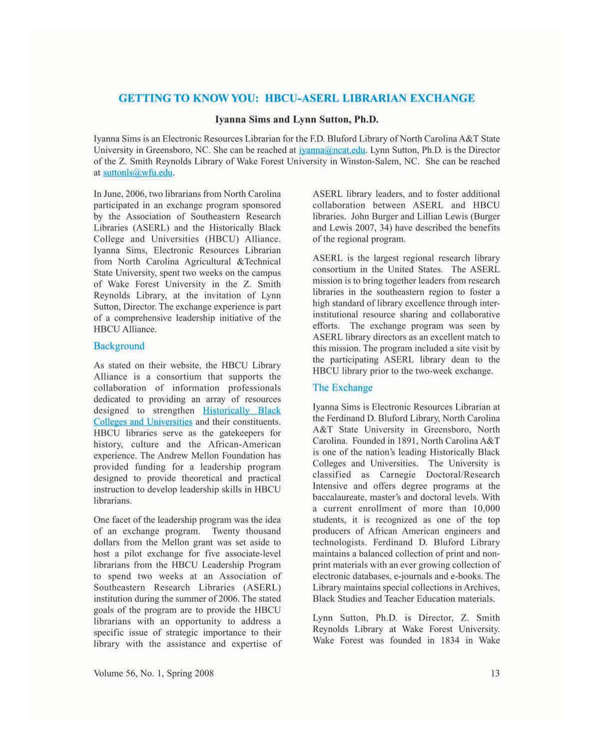# GETTING TO KNOW YOU: HBCU-ASERL LIBRARIAN EXCHANGE

#### Iyanna Sims and Lynn Sutton, Ph.D.

Iyanna Sims is an Electronic Resources Librarian for the F.D. Bluford Library of North Carolina A&T State University in Greensboro, NC. She can be reached at *ivanna@ncat.edu.* Lynn Sutton, Ph.D. is the Director of the Z. Smith Reynolds Library of Wake Forest University in Winston-Salem, NC. She can be reached at suttonls@wfu.edu.

In June. 2006, two librarians from North Carolina participated in an exchange program sponsored by the Association of Southeastern Research Libraries (ASERL) and the Historically Black College and Universities (HBCU) Alliance. Iyanna Sims, Electronic Resources Librarian from North Carolina Agricultural &Tcchnical State University, spent two weeks on the campus of Wake Forest University in the Z. Smith Reynolds Library. at the invitation of Lynn Sutton, Director. The exchange experience is part of a comprehensive leadership initiative of the HBCU Alliance.

# **Background**

As stated on their website. the HBCU Library Alliance is a consortium that supports the collaboration of information professionals dedicated to providing an array of resources designed to strengthen Historically Black Colleges and Universities and their constituents. HBCU libraries serve as the gatekeepers for history, culture and the African-American expericnce. The Andrew Mcllon Foundation has provided funding for a leadership program designed to provide theoretical and practical instruction to develop leadership skills in HBCU librarians.

One facet of the leadership program was the idea of an exchange program. Twenty thousand dollars from the Mellon grant was set aside to host a pilot exchange for five associate-level librarians from the HBCU Leadership Program to spend two weeks at an Association of Southeastern Research Libraries (ASERL) institution during the summer of 2006. The stated goals of the program arc to provide the HBCU librarians with an opportunity to address a specific issue of strategic importance to their library with the assistance and expertise of

ASERL library leaders, and to foster additional collaboration between ASERL and HBCU libraries. John Burger and Lillian Lewis (Burger and Lewis 2007, 34) have described the benefits of the regional program.

ASERL is the largest regional research library consortium in the United Slates. The ASERL mission is to bring together Icaders from research libraries in the southeastern region to foster a high standard of library excellence through intcrinstitutional resource sharing and collaborative efforts. The exchange program was seen by ASERL library directors as an excellent match to this mission. The program included a site visit by the participating ASERL library dean to the HBCU library prior to the two-week exchange.

# The Exchange

Iyanna Sims is Electronic Resourees Librarian at the Ferdinand D. Bluford Library, North Carolina A&T State University in Greensboro, North Carolina. Founded in 1891, North Carolina A&T is one of the nation's Icading Historically Black Colleges and Universities. The University is classified as Carnegie Doctoral/Research Intensive and offers degree programs at the baccalaureate. master's and doctoral levels. With a current enrollment of more than 10,000 students. it is recognized as one of the top producers of African American engineers and technologists. Ferdinand D. Bluford Library maintains a balanced collection of print and nonprint materials with an ever growing collection of electronic databases, e-journals and e·books. The Library maintains special collections in Archives, Black Studies and Teacher Education materials.

Lynn Sulton. Ph.D. is Director, Z. Smith Reynolds Library at Wake Forest University. Wake Forest was founded in 1834 in Wake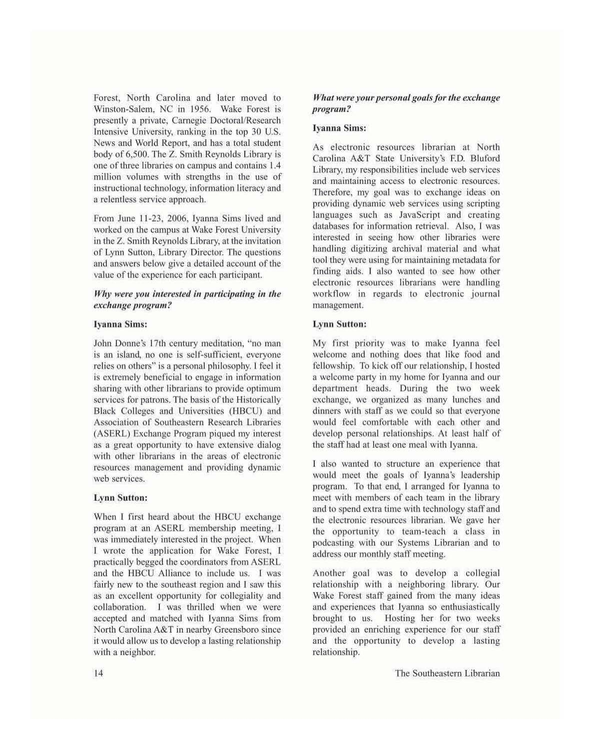Forest, North Carolina and later moved to Winston-Salem. NC in 1956. Wake Forest is presemly a private, Carnegie Doctoral/Research Intensive University, ranking in the top 30 U.S. News and World Report, and has a total student body of 6,500. The Z. Smith Reynolds Library is one ofthree libraries on campus and contains I*A* million volumes with strengths in the usc of instructional technology, information literacy and a relentless service approach,

From June 11-23, 2006, [yanna Sims lived and worked on the campus at Wake Forest University in the Z. Smith Reynolds Library, at the invitation of Lynn Sutton, Library Director. The questions and answers below give a detailed account of the value of the experience for each participant.

# *Why* were you interested in participating in the  $exchange$ *program?*

# Iyanna Sims:

John Donne's 17th century meditation, "no man is an island, no one is self-sufficient, everyone relics on others" is a personal philosophy. I feel it is extremely beneficial to engage in information sharing with other librarians to provide optimum services for patrons. The basis of the Historically Black Colleges and Universities (HBCU) and Association of Southeastern Research Libraries (ASERL) Exchange Program piqued my interest as a great opportunity to have extensive dialog with other librarians in the areas of electronic resources management and providing dynamic web services.

# **Lynn Sutton:**

When I first heard about the HBCU exchange program at an ASERL membership meeting, I was immediately interested in the project. When I wrote the application for Wake Forest, I practically begged Ihe coordinators from ASERL and the HBCU Alliance to inelude us. I was fairly new to the southeast region and I saw this as an excellent opportunity for collegiality and collaboration, I was thrilled when we were accepted and matched with Iyanna Sims from North Carolina A&T in nearby Greensboro since it would allow us to develop a lasting rclationship with a neighbor.

# *What were your personal goals for the exchange program?*

#### Iyanna Sims:

As electronic resources librarian at North Carolina A&T State University's ED. Bluford Library, my responsibilities include web services and maintaining access to electronic resources. Therefore, my goal was to exchange ideas on providing dynamic web services using scripting languages such as JavaScript and creating databases for information retrieval. Also, I was interested in seeing how other libraries were handling digitizing archival material and what tool they were using for maintaining metadata for finding aids. I also wanted to see how other electronic resources librarians were handling workflow in regards to electronic journal management.

## Lynn Sutton:

My first priority was to make Iyanna feel welcome and nothing does that like food and fellowship. To kick off our relationship, I hosted a welcome party in my home for Iyanna and our department heads, During the two week exchange, we organized as many lunches and dinners with staff as we could so that everyone would feel comfortable with each other and develop personal relationships. At least half of the staff had at least one meal with Iyanna.

I also wanted to structure an experience that would meet the goals of Iyanna's leadership program. To that end, I arranged for Iyanna to meet with members of each team in the library and to spend extra time with technology staff and the electronic resources librarian, We gave her tbe opportunity to team-teach a class in podcasting with our Systems Librarian and to address our monthly staff meeting.

Another goal was to develop a collegial relationship with a neighboring library. Our Wake Forest staff gained from the many ideas and experiences that Ivanna so enthusiastically brought to us. Hosting her for two weeks provided an enriching experience for our staff and the opportunity to develop a lasting relationship.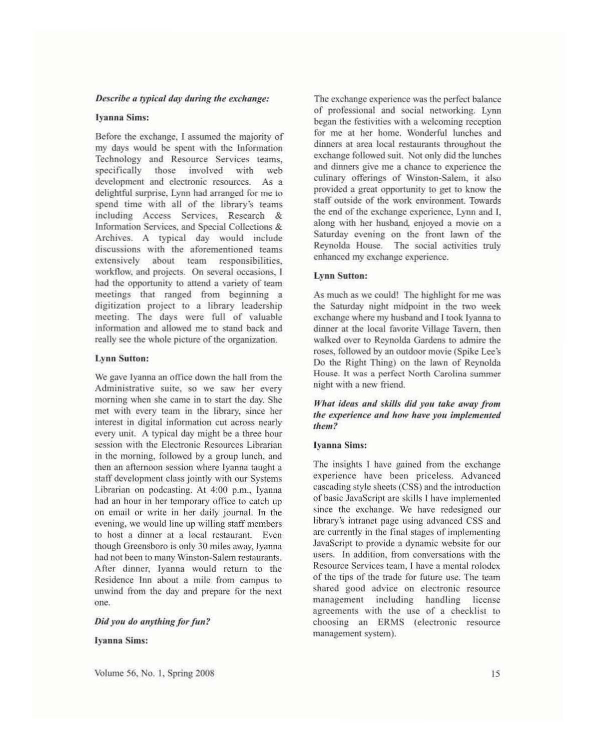#### *Describe a typical day during the exchange:*

#### Ivanna Sims:

Before the exchange, I assumed the majority of my days would be spent with the Information Technology and Resource Services teams. specifically those involved with web development and electronic resources. As a delightful surprise. Lynn had arranged for me to spend time with all of the Iibrary's teams ineluding Access Services. Research & Information Services, and Special Collections & Archives. A typical day would include discussions with the aforementioned teams extensively about team responsibilities, workflow, and projects. On several occasions, I had the opportunity to attend a variety of team meelings that ranged from beginning a digitization project to a library leadership meeting. Thc days were full of valuable information and allowed me to stand back and really see the whole picture of the organization.

#### Lynn Sutton:

We gave Iyanna an office down the hall from the Adminislrative suite. so we saw her every morning when she came in to start the day. She met with every team in the library. since her interest in digital information cut across nearly every unit. A typical day might be a three hour session with the Elcctronie Resources Librarian in the morning. followed by a group lunch. and then an afternoon session where Ivanna taught a staff development class jointly with our Systems Librarian on podcasting. At 4:00 p.m., Iyanna had an hour in her temporary office to catch up on email or write in her daily journal. In the evening. we would line up willing staff members to host a dinner at a local restaurant. Even though Greensboro is only 30 miles away, Iyanna had not been to many Winston-Salem restaurants. After dinner, Iyanna would return to the Residence Inn about a mile from campus to unwind from the day and prepare for the next one.

#### *Did you do anything for fun?*

#### I)'anna Sims:

The exchange experience was the perfect balance of professional and social nelworking. Lynn began the festivities with a welcoming reception for me at her home. Wonderful lunches and dinners at area local restaurants throughout the exchange followed suit. Not only did the lunches and dinners give me a chance to experience the culinary offerings of Winston-Salem, it also provided a great opportunity to get to know the staff outside of the work environment. Towards the end of the exehange experience, Lynn and l. along with her husband, enjoyed a movie on a Saturday evening on the front lawn of the Reynolda House. The social activities truly enhanced my exchange experience.

#### Lynn Sutton:

As much as we could! The highlight for me was the Saturday night midpoint in the two week exchange where my husband and I took Iyanna to dinner at the local favorite Village Tavern, then walked over to Reynolda Gardens to admire the roses, followed by an outdoor movie (Spike Lee's Do the Right Thing) on the lawn of Reynolda House. It was a perfect North Carolina summer night with a new friend.

# *What ideas and skills did you take away from the experience and how have you implemented lhem?*

#### **Iyanna Sims:**

The insights I have gained from the exchange experience have been priceless. Advanced cascading style sheets (CSS) and the introduction of basic JavaSeript arc skills I have implemented since the exchange. We have redesigned our library's intranet page using advanced CSS and are currently in the final stages of implementing JavaSeript to provide a dynamic website for our users. In addition, from conversations with the Resource Services team. I have a mental rolodex of the tips of the trade for future use. The team shared good advice on electronic resource management including handling license agreements with the use of a checklist to choosing an ERMS (electronic resource management system).